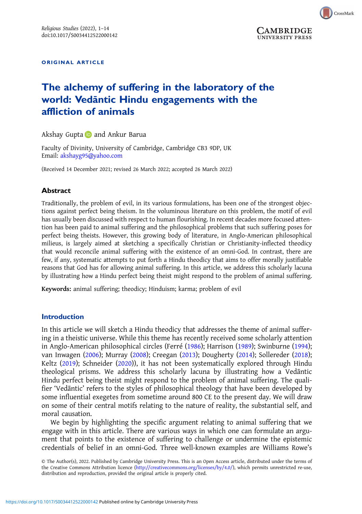

**UNIVERSITY PRESS** 

ORIGINAL ARTICLE

# The alchemy of suffering in the laboratory of the world: Vedāntic Hindu engagements with the affliction of animals

Akshay Gupta **a** and Ankur Barua

Faculty of Divinity, University of Cambridge, Cambridge CB3 9DP, UK Email: [akshayg95@yahoo.com](mailto:akshayg95@yahoo.com)

(Received 14 December 2021; revised 26 March 2022; accepted 26 March 2022)

## **Abstract**

Traditionally, the problem of evil, in its various formulations, has been one of the strongest objections against perfect being theism. In the voluminous literature on this problem, the motif of evil has usually been discussed with respect to human flourishing. In recent decades more focused attention has been paid to animal suffering and the philosophical problems that such suffering poses for perfect being theists. However, this growing body of literature, in Anglo-American philosophical milieus, is largely aimed at sketching a specifically Christian or Christianity-inflected theodicy that would reconcile animal suffering with the existence of an omni-God. In contrast, there are few, if any, systematic attempts to put forth a Hindu theodicy that aims to offer morally justifiable reasons that God has for allowing animal suffering. In this article, we address this scholarly lacuna by illustrating how a Hindu perfect being theist might respond to the problem of animal suffering.

Keywords: animal suffering; theodicy; Hinduism; karma; problem of evil

### Introduction

In this article we will sketch a Hindu theodicy that addresses the theme of animal suffering in a theistic universe. While this theme has recently received some scholarly attention in Anglo-American philosophical circles (Ferré [\(1986\)](#page-12-0); Harrison [\(1989\)](#page-12-0); Swinburne [\(1994\)](#page-12-0); van Inwagen [\(2006\)](#page-12-0); Murray ([2008](#page-12-0)); Creegan ([2013\)](#page-12-0); Dougherty [\(2014\)](#page-12-0); Sollereder [\(2018\)](#page-12-0); Keltz ([2019](#page-12-0)); Schneider ([2020](#page-12-0))), it has not been systematically explored through Hindu theological prisms. We address this scholarly lacuna by illustrating how a Vedāntic Hindu perfect being theist might respond to the problem of animal suffering. The qualifier 'Vedāntic' refers to the styles of philosophical theology that have been developed by some influential exegetes from sometime around 800 CE to the present day. We will draw on some of their central motifs relating to the nature of reality, the substantial self, and moral causation.

We begin by highlighting the specific argument relating to animal suffering that we engage with in this article. There are various ways in which one can formulate an argument that points to the existence of suffering to challenge or undermine the epistemic credentials of belief in an omni-God. Three well-known examples are Williams Rowe's

© The Author(s), 2022. Published by Cambridge University Press. This is an Open Access article, distributed under the terms of the Creative Commons Attribution licence [\(http://creativecommons.org/licenses/by/4.0/](http://creativecommons.org/licenses/by/4.0/)), which permits unrestricted re-use, distribution and reproduction, provided the original article is properly cited.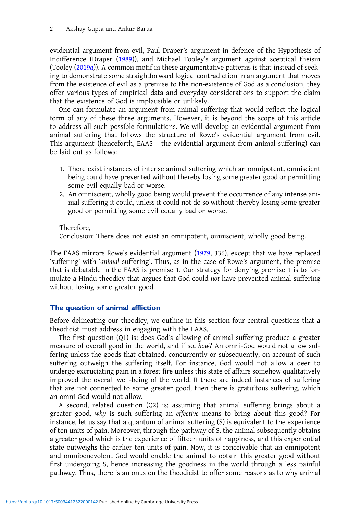evidential argument from evil, Paul Draper's argument in defence of the Hypothesis of Indifference (Draper [\(1989](#page-12-0))), and Michael Tooley's argument against sceptical theism (Tooley [\(2019](#page-12-0)a)). A common motif in these argumentative patterns is that instead of seeking to demonstrate some straightforward logical contradiction in an argument that moves from the existence of evil as a premise to the non-existence of God as a conclusion, they offer various types of empirical data and everyday considerations to support the claim that the existence of God is implausible or unlikely.

One can formulate an argument from animal suffering that would reflect the logical form of any of these three arguments. However, it is beyond the scope of this article to address all such possible formulations. We will develop an evidential argument from animal suffering that follows the structure of Rowe's evidential argument from evil. This argument (henceforth, EAAS – the evidential argument from animal suffering) can be laid out as follows:

- 1. There exist instances of intense animal suffering which an omnipotent, omniscient being could have prevented without thereby losing some greater good or permitting some evil equally bad or worse.
- 2. An omniscient, wholly good being would prevent the occurrence of any intense animal suffering it could, unless it could not do so without thereby losing some greater good or permitting some evil equally bad or worse.

Therefore,

Conclusion: There does not exist an omnipotent, omniscient, wholly good being.

The EAAS mirrors Rowe's evidential argument ([1979,](#page-12-0) 336), except that we have replaced 'suffering' with 'animal suffering'. Thus, as in the case of Rowe's argument, the premise that is debatable in the EAAS is premise 1. Our strategy for denying premise 1 is to formulate a Hindu theodicy that argues that God could not have prevented animal suffering without losing some greater good.

## The question of animal affliction

Before delineating our theodicy, we outline in this section four central questions that a theodicist must address in engaging with the EAAS.

The first question (Q1) is: does God's allowing of animal suffering produce a greater measure of overall good in the world, and if so, how? An omni-God would not allow suffering unless the goods that obtained, concurrently or subsequently, on account of such suffering outweigh the suffering itself. For instance, God would not allow a deer to undergo excruciating pain in a forest fire unless this state of affairs somehow qualitatively improved the overall well-being of the world. If there are indeed instances of suffering that are not connected to some greater good, then there is gratuitous suffering, which an omni-God would not allow.

A second, related question (Q2) is: assuming that animal suffering brings about a greater good, why is such suffering an effective means to bring about this good? For instance, let us say that a quantum of animal suffering (S) is equivalent to the experience of ten units of pain. Moreover, through the pathway of S, the animal subsequently obtains a greater good which is the experience of fifteen units of happiness, and this experiential state outweighs the earlier ten units of pain. Now, it is conceivable that an omnipotent and omnibenevolent God would enable the animal to obtain this greater good without first undergoing S, hence increasing the goodness in the world through a less painful pathway. Thus, there is an onus on the theodicist to offer some reasons as to why animal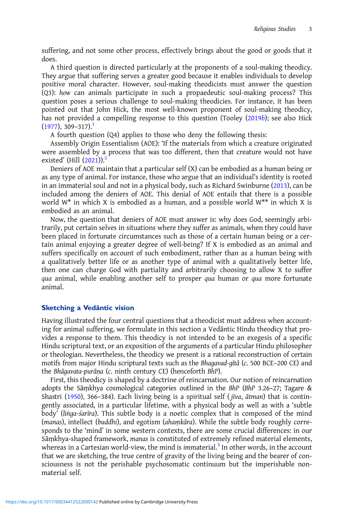suffering, and not some other process, effectively brings about the good or goods that it does.

A third question is directed particularly at the proponents of a soul-making theodicy. They argue that suffering serves a greater good because it enables individuals to develop positive moral character. However, soul-making theodicists must answer the question (Q3): how can animals participate in such a propaedeutic soul-making process? This question poses a serious challenge to soul-making theodicies. For instance, it has been pointed out that John Hick, the most well-known proponent of soul-making theodicy, has not provided a compelling response to this question (Tooley ([2019](#page-12-0)b); see also Hick  $(1977), 309 - 317$  $(1977), 309 - 317$  $(1977), 309 - 317$  $(1977), 309 - 317$  $(1977), 309 - 317$ <sup>1</sup>

A fourth question (Q4) applies to those who deny the following thesis:

Assembly Origin Essentialism (AOE): 'If the materials from which a creature originated were assembled by a process that was too different, then that creature would not have existed' (Hill  $(2021)$  $(2021)$ ).<sup>[2](#page-11-0)</sup>

Deniers of AOE maintain that a particular self (X) can be embodied as a human being or as any type of animal. For instance, those who argue that an individual's identity is rooted in an immaterial soul and not in a physical body, such as Richard Swinburne ([2013](#page-12-0)), can be included among the deniers of AOE. This denial of AOE entails that there is a possible world  $W^*$  in which X is embodied as a human, and a possible world  $W^{**}$  in which X is embodied as an animal.

Now, the question that deniers of AOE must answer is: why does God, seemingly arbitrarily, put certain selves in situations where they suffer as animals, when they could have been placed in fortunate circumstances such as those of a certain human being or a certain animal enjoying a greater degree of well-being? If X is embodied as an animal and suffers specifically on account of such embodiment, rather than as a human being with a qualitatively better life or as another type of animal with a qualitatively better life, then one can charge God with partiality and arbitrarily choosing to allow X to suffer qua animal, while enabling another self to prosper qua human or qua more fortunate animal.

## Sketching a Vedāntic vision

Having illustrated the four central questions that a theodicist must address when accounting for animal suffering, we formulate in this section a Vedāntic Hindu theodicy that provides a response to them. This theodicy is not intended to be an exegesis of a specific Hindu scriptural text, or an exposition of the arguments of a particular Hindu philosopher or theologian. Nevertheless, the theodicy we present is a rational reconstruction of certain motifs from major Hindu scriptural texts such as the Bhagavad-gītā (c. 500 BCE–200 CE) and the Bhāgavata-purāṇa (c. ninth century CE) (henceforth BhP).

First, this theodicy is shaped by a doctrine of reincarnation. Our notion of reincarnation adopts the Sāṃkhya cosmological categories outlined in the BhP (BhP 3.26–27; Tagare & Shastri [\(1950](#page-11-0)), 366–384). Each living being is a spiritual self ( jīva, ātman) that is contingently associated, in a particular lifetime, with a physical body as well as with a 'subtle body' (liṅga-śarīra). This subtle body is a noetic complex that is composed of the mind (manas), intellect (buddhi), and egotism (ahaṃkāra). While the subtle body roughly corresponds to the 'mind' in some western contexts, there are some crucial differences: in our Sāṃkhya-shaped framework, manas is constituted of extremely refined material elements, whereas in a Cartesian world-view, the mind is immaterial.<sup>[3](#page-11-0)</sup> In other words, in the account that we are sketching, the true centre of gravity of the living being and the bearer of consciousness is not the perishable psychosomatic continuum but the imperishable nonmaterial self.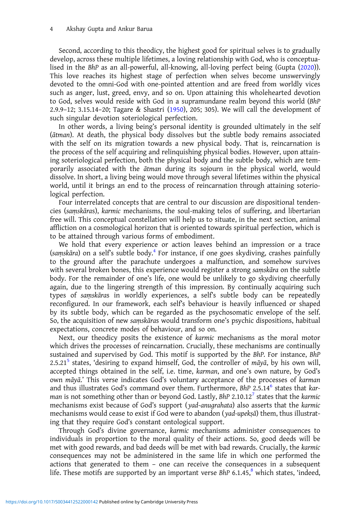Second, according to this theodicy, the highest good for spiritual selves is to gradually develop, across these multiple lifetimes, a loving relationship with God, who is conceptualised in the BhP as an all-powerful, all-knowing, all-loving perfect being (Gupta [\(2020](#page-12-0))). This love reaches its highest stage of perfection when selves become unswervingly devoted to the omni-God with one-pointed attention and are freed from worldly vices such as anger, lust, greed, envy, and so on. Upon attaining this wholehearted devotion to God, selves would reside with God in a supramundane realm beyond this world (BhP 2.9.9–12; 3.15.14–20; Tagare & Shastri [\(1950\)](#page-11-0), 205; 305). We will call the development of such singular devotion soteriological perfection.

In other words, a living being's personal identity is grounded ultimately in the self (ātman). At death, the physical body dissolves but the subtle body remains associated with the self on its migration towards a new physical body. That is, reincarnation is the process of the self acquiring and relinquishing physical bodies. However, upon attaining soteriological perfection, both the physical body and the subtle body, which are temporarily associated with the ātman during its sojourn in the physical world, would dissolve. In short, a living being would move through several lifetimes within the physical world, until it brings an end to the process of reincarnation through attaining soteriological perfection.

Four interrelated concepts that are central to our discussion are dispositional tendencies (saṃskāras), karmic mechanisms, the soul-making telos of suffering, and libertarian free will. This conceptual constellation will help us to situate, in the next section, animal affliction on a cosmological horizon that is oriented towards spiritual perfection, which is to be attained through various forms of embodiment.

We hold that every experience or action leaves behind an impression or a trace (saṃskāra) on a self's subtle body.[4](#page-11-0) For instance, if one goes skydiving, crashes painfully to the ground after the parachute undergoes a malfunction, and somehow survives with several broken bones, this experience would register a strong saṃskāra on the subtle body. For the remainder of one's life, one would be unlikely to go skydiving cheerfully again, due to the lingering strength of this impression. By continually acquiring such types of saṃskāras in worldly experiences, a self's subtle body can be repeatedly reconfigured. In our framework, each self's behaviour is heavily influenced or shaped by its subtle body, which can be regarded as the psychosomatic envelope of the self. So, the acquisition of new saṃskāras would transform one's psychic dispositions, habitual expectations, concrete modes of behaviour, and so on.

Next, our theodicy posits the existence of karmic mechanisms as the moral motor which drives the processes of reincarnation. Crucially, these mechanisms are continually sustained and supervised by God. This motif is supported by the BhP. For instance, BhP 2.[5](#page-11-0).21<sup>5</sup> states, 'desiring to expand himself, God, the controller of  $m\bar{q}y\bar{a}$ , by his own will, accepted things obtained in the self, i.e. time, karman, and one's own nature, by God's own māyā.' This verse indicates God's voluntary acceptance of the processes of karman and thus illustrates God's command over them. Furthermore,  $BhP$  2.5.14 $^6$  $^6$  states that karman is not something other than or beyond God. Lastly,  $BhP 2.10.12<sup>7</sup>$  $BhP 2.10.12<sup>7</sup>$  $BhP 2.10.12<sup>7</sup>$  states that the karmic mechanisms exist because of God's support ( yad-anugrahata) also asserts that the karmic mechanisms would cease to exist if God were to abandon ( yad-upekṣā) them, thus illustrating that they require God's constant ontological support.

Through God's divine governance, karmic mechanisms administer consequences to individuals in proportion to the moral quality of their actions. So, good deeds will be met with good rewards, and bad deeds will be met with bad rewards. Crucially, the karmic consequences may not be administered in the same life in which one performed the actions that generated to them – one can receive the consequences in a subsequent life. These motifs are supported by an important verse BhP  $6.1.45$ , which states, 'indeed,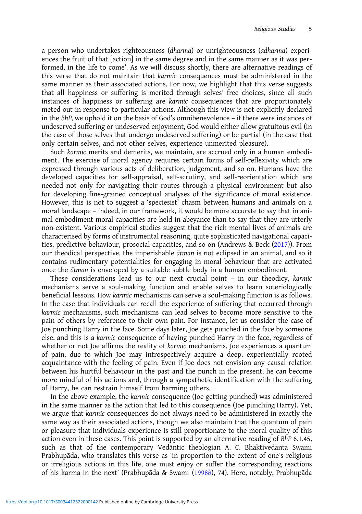a person who undertakes righteousness (dharma) or unrighteousness (adharma) experiences the fruit of that [action] in the same degree and in the same manner as it was performed, in the life to come'. As we will discuss shortly, there are alternative readings of this verse that do not maintain that karmic consequences must be administered in the same manner as their associated actions. For now, we highlight that this verse suggests that all happiness or suffering is merited through selves' free choices, since all such instances of happiness or suffering are karmic consequences that are proportionately meted out in response to particular actions. Although this view is not explicitly declared in the BhP, we uphold it on the basis of God's omnibenevolence – if there were instances of undeserved suffering or undeserved enjoyment, God would either allow gratuitous evil (in the case of those selves that undergo undeserved suffering) or be partial (in the case that only certain selves, and not other selves, experience unmerited pleasure).

Such karmic merits and demerits, we maintain, are accrued only in a human embodiment. The exercise of moral agency requires certain forms of self-reflexivity which are expressed through various acts of deliberation, judgement, and so on. Humans have the developed capacities for self-appraisal, self-scrutiny, and self-reorientation which are needed not only for navigating their routes through a physical environment but also for developing fine-grained conceptual analyses of the significance of moral existence. However, this is not to suggest a 'speciesist' chasm between humans and animals on a moral landscape – indeed, in our framework, it would be more accurate to say that in animal embodiment moral capacities are held in abeyance than to say that they are utterly non-existent. Various empirical studies suggest that the rich mental lives of animals are characterised by forms of instrumental reasoning, quite sophisticated navigational capacities, predictive behaviour, prosocial capacities, and so on (Andrews & Beck [\(2017](#page-11-0))). From our theodical perspective, the imperishable ātman is not eclipsed in an animal, and so it contains rudimentary potentialities for engaging in moral behaviour that are activated once the ātman is enveloped by a suitable subtle body in a human embodiment.

These considerations lead us to our next crucial point – in our theodicy, karmic mechanisms serve a soul-making function and enable selves to learn soteriologically beneficial lessons. How karmic mechanisms can serve a soul-making function is as follows. In the case that individuals can recall the experience of suffering that occurred through karmic mechanisms, such mechanisms can lead selves to become more sensitive to the pain of others by reference to their own pain. For instance, let us consider the case of Joe punching Harry in the face. Some days later, Joe gets punched in the face by someone else, and this is a karmic consequence of having punched Harry in the face, regardless of whether or not Joe affirms the reality of karmic mechanisms. Joe experiences a quantum of pain, due to which Joe may introspectively acquire a deep, experientially rooted acquaintance with the feeling of pain. Even if Joe does not envision any causal relation between his hurtful behaviour in the past and the punch in the present, he can become more mindful of his actions and, through a sympathetic identification with the suffering of Harry, he can restrain himself from harming others.

In the above example, the karmic consequence (Joe getting punched) was administered in the same manner as the action that led to this consequence (Joe punching Harry). Yet, we argue that karmic consequences do not always need to be administered in exactly the same way as their associated actions, though we also maintain that the quantum of pain or pleasure that individuals experience is still proportionate to the moral quality of this action even in these cases. This point is supported by an alternative reading of BhP 6.1.45, such as that of the contemporary Vedāntic theologian A. C. Bhaktivedanta Swami Prabhupāda, who translates this verse as 'in proportion to the extent of one's religious or irreligious actions in this life, one must enjoy or suffer the corresponding reactions of his karma in the next' (Prabhupāda & Swami ([1998](#page-12-0)b), 74). Here, notably, Prabhupāda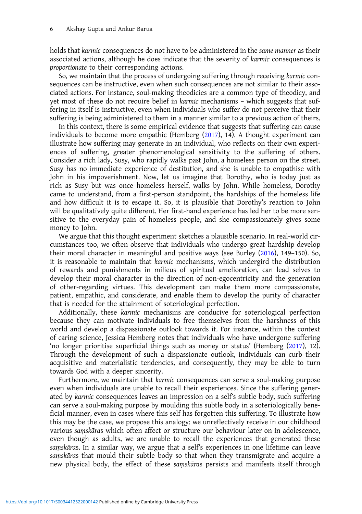holds that karmic consequences do not have to be administered in the same manner as their associated actions, although he does indicate that the severity of karmic consequences is proportionate to their corresponding actions.

So, we maintain that the process of undergoing suffering through receiving karmic consequences can be instructive, even when such consequences are not similar to their associated actions. For instance, soul-making theodicies are a common type of theodicy, and yet most of these do not require belief in karmic mechanisms – which suggests that suffering in itself is instructive, even when individuals who suffer do not perceive that their suffering is being administered to them in a manner similar to a previous action of theirs.

In this context, there is some empirical evidence that suggests that suffering can cause individuals to become more empathic (Hemberg ([2017](#page-12-0)), 14). A thought experiment can illustrate how suffering may generate in an individual, who reflects on their own experiences of suffering, greater phenomenological sensitivity to the suffering of others. Consider a rich lady, Susy, who rapidly walks past John, a homeless person on the street. Susy has no immediate experience of destitution, and she is unable to empathise with John in his impoverishment. Now, let us imagine that Dorothy, who is today just as rich as Susy but was once homeless herself, walks by John. While homeless, Dorothy came to understand, from a first-person standpoint, the hardships of the homeless life and how difficult it is to escape it. So, it is plausible that Dorothy's reaction to John will be qualitatively quite different. Her first-hand experience has led her to be more sensitive to the everyday pain of homeless people, and she compassionately gives some money to John.

We argue that this thought experiment sketches a plausible scenario. In real-world circumstances too, we often observe that individuals who undergo great hardship develop their moral character in meaningful and positive ways (see Burley [\(2016\)](#page-12-0), 149–150). So, it is reasonable to maintain that karmic mechanisms, which undergird the distribution of rewards and punishments in milieus of spiritual amelioration, can lead selves to develop their moral character in the direction of non-egocentricity and the generation of other-regarding virtues. This development can make them more compassionate, patient, empathic, and considerate, and enable them to develop the purity of character that is needed for the attainment of soteriological perfection.

Additionally, these karmic mechanisms are conducive for soteriological perfection because they can motivate individuals to free themselves from the harshness of this world and develop a dispassionate outlook towards it. For instance, within the context of caring science, Jessica Hemberg notes that individuals who have undergone suffering 'no longer prioritise superficial things such as money or status' (Hemberg ([2017](#page-12-0)), 12). Through the development of such a dispassionate outlook, individuals can curb their acquisitive and materialistic tendencies, and consequently, they may be able to turn towards God with a deeper sincerity.

Furthermore, we maintain that karmic consequences can serve a soul-making purpose even when individuals are unable to recall their experiences. Since the suffering generated by karmic consequences leaves an impression on a self's subtle body, such suffering can serve a soul-making purpose by moulding this subtle body in a soteriologically beneficial manner, even in cases where this self has forgotten this suffering. To illustrate how this may be the case, we propose this analogy: we unreflectively receive in our childhood various saṃskāras which often affect or structure our behaviour later on in adolescence, even though as adults, we are unable to recall the experiences that generated these samskāras. In a similar way, we argue that a self's experiences in one lifetime can leave saṃskāras that mould their subtle body so that when they transmigrate and acquire a new physical body, the effect of these saṃskāras persists and manifests itself through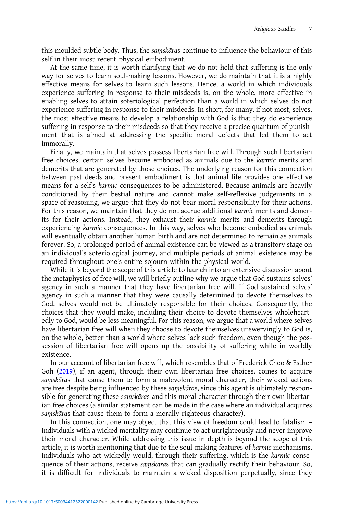this moulded subtle body. Thus, the saṃskāras continue to influence the behaviour of this self in their most recent physical embodiment.

At the same time, it is worth clarifying that we do not hold that suffering is the only way for selves to learn soul-making lessons. However, we do maintain that it is a highly effective means for selves to learn such lessons. Hence, a world in which individuals experience suffering in response to their misdeeds is, on the whole, more effective in enabling selves to attain soteriological perfection than a world in which selves do not experience suffering in response to their misdeeds. In short, for many, if not most, selves, the most effective means to develop a relationship with God is that they do experience suffering in response to their misdeeds so that they receive a precise quantum of punishment that is aimed at addressing the specific moral defects that led them to act immorally.

Finally, we maintain that selves possess libertarian free will. Through such libertarian free choices, certain selves become embodied as animals due to the karmic merits and demerits that are generated by those choices. The underlying reason for this connection between past deeds and present embodiment is that animal life provides one effective means for a self's karmic consequences to be administered. Because animals are heavily conditioned by their bestial nature and cannot make self-reflexive judgements in a space of reasoning, we argue that they do not bear moral responsibility for their actions. For this reason, we maintain that they do not accrue additional karmic merits and demerits for their actions. Instead, they exhaust their karmic merits and demerits through experiencing karmic consequences. In this way, selves who become embodied as animals will eventually obtain another human birth and are not determined to remain as animals forever. So, a prolonged period of animal existence can be viewed as a transitory stage on an individual's soteriological journey, and multiple periods of animal existence may be required throughout one's entire sojourn within the physical world.

While it is beyond the scope of this article to launch into an extensive discussion about the metaphysics of free will, we will briefly outline why we argue that God sustains selves' agency in such a manner that they have libertarian free will. If God sustained selves' agency in such a manner that they were causally determined to devote themselves to God, selves would not be ultimately responsible for their choices. Consequently, the choices that they would make, including their choice to devote themselves wholeheartedly to God, would be less meaningful. For this reason, we argue that a world where selves have libertarian free will when they choose to devote themselves unswervingly to God is, on the whole, better than a world where selves lack such freedom, even though the possession of libertarian free will opens up the possibility of suffering while in worldly existence.

In our account of libertarian free will, which resembles that of Frederick Choo & Esther Goh [\(2019](#page-12-0)), if an agent, through their own libertarian free choices, comes to acquire saṃskāras that cause them to form a malevolent moral character, their wicked actions are free despite being influenced by these saṃskāras, since this agent is ultimately responsible for generating these saṃskāras and this moral character through their own libertarian free choices (a similar statement can be made in the case where an individual acquires saṃskāras that cause them to form a morally righteous character).

In this connection, one may object that this view of freedom could lead to fatalism – individuals with a wicked mentality may continue to act unrighteously and never improve their moral character. While addressing this issue in depth is beyond the scope of this article, it is worth mentioning that due to the soul-making features of karmic mechanisms, individuals who act wickedly would, through their suffering, which is the karmic consequence of their actions, receive saṃskāras that can gradually rectify their behaviour. So, it is difficult for individuals to maintain a wicked disposition perpetually, since they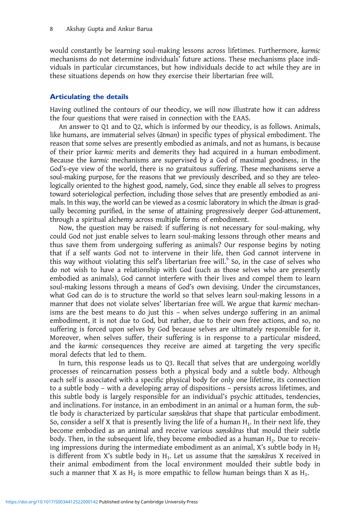would constantly be learning soul-making lessons across lifetimes. Furthermore, karmic mechanisms do not determine individuals' future actions. These mechanisms place individuals in particular circumstances, but how individuals decide to act while they are in these situations depends on how they exercise their libertarian free will.

## Articulating the details

Having outlined the contours of our theodicy, we will now illustrate how it can address the four questions that were raised in connection with the EAAS.

An answer to Q1 and to Q2, which is informed by our theodicy, is as follows. Animals, like humans, are immaterial selves (ātman) in specific types of physical embodiment. The reason that some selves are presently embodied as animals, and not as humans, is because of their prior karmic merits and demerits they had acquired in a human embodiment. Because the karmic mechanisms are supervised by a God of maximal goodness, in the God's-eye view of the world, there is no gratuitous suffering. These mechanisms serve a soul-making purpose, for the reasons that we previously described, and so they are teleologically oriented to the highest good, namely, God, since they enable all selves to progress toward soteriological perfection, including those selves that are presently embodied as animals. In this way, the world can be viewed as a cosmic laboratory in which the ātman is gradually becoming purified, in the sense of attaining progressively deeper God-attunement, through a spiritual alchemy across multiple forms of embodiment.

Now, the question may be raised: if suffering is not necessary for soul-making, why could God not just enable selves to learn soul-making lessons through other means and thus save them from undergoing suffering as animals? Our response begins by noting that if a self wants God not to intervene in their life, then God cannot intervene in this way without violating this self's libertarian free will.<sup>[9](#page-11-0)</sup> So, in the case of selves who do not wish to have a relationship with God (such as those selves who are presently embodied as animals), God cannot interfere with their lives and compel them to learn soul-making lessons through a means of God's own devising. Under the circumstances, what God can do is to structure the world so that selves learn soul-making lessons in a manner that does not violate selves' libertarian free will. We argue that karmic mechanisms are the best means to do just this – when selves undergo suffering in an animal embodiment, it is not due to God, but rather, due to their own free actions, and so, no suffering is forced upon selves by God because selves are ultimately responsible for it. Moreover, when selves suffer, their suffering is in response to a particular misdeed, and the karmic consequences they receive are aimed at targeting the very specific moral defects that led to them.

In turn, this response leads us to Q3. Recall that selves that are undergoing worldly processes of reincarnation possess both a physical body and a subtle body. Although each self is associated with a specific physical body for only one lifetime, its connection to a subtle body – with a developing array of dispositions – persists across lifetimes, and this subtle body is largely responsible for an individual's psychic attitudes, tendencies, and inclinations. For instance, in an embodiment in an animal or a human form, the subtle body is characterized by particular saṃskāras that shape that particular embodiment. So, consider a self X that is presently living the life of a human  $H_1$ . In their next life, they become embodied as an animal and receive various saṃskāras that mould their subtle body. Then, in the subsequent life, they become embodied as a human  $H_2$ . Due to receiving impressions during the intermediate embodiment as an animal, X's subtle body in  $H_2$ is different from X's subtle body in  $H_1$ . Let us assume that the saṃskāras X received in their animal embodiment from the local environment moulded their subtle body in such a manner that X as  $H_2$  is more empathic to fellow human beings than X as  $H_1$ .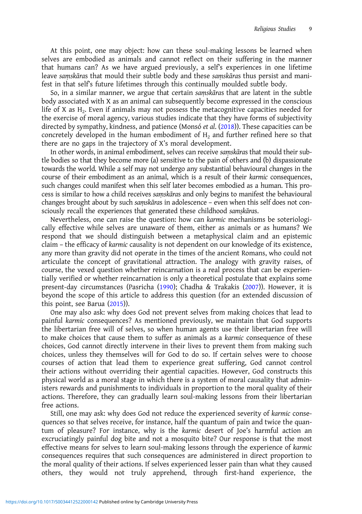At this point, one may object: how can these soul-making lessons be learned when selves are embodied as animals and cannot reflect on their suffering in the manner that humans can? As we have argued previously, a self's experiences in one lifetime leave saṃskāras that mould their subtle body and these saṃskāras thus persist and manifest in that self's future lifetimes through this continually moulded subtle body.

So, in a similar manner, we argue that certain saṃskāras that are latent in the subtle body associated with X as an animal can subsequently become expressed in the conscious life of X as  $H_2$ . Even if animals may not possess the metacognitive capacities needed for the exercise of moral agency, various studies indicate that they have forms of subjectivity directed by sympathy, kindness, and patience (Monsó et al. ([2018](#page-12-0))). These capacities can be concretely developed in the human embodiment of  $H<sub>2</sub>$  and further refined here so that there are no gaps in the trajectory of X's moral development.

In other words, in animal embodiment, selves can receive saṃskāras that mould their subtle bodies so that they become more (a) sensitive to the pain of others and (b) dispassionate towards the world. While a self may not undergo any substantial behavioural changes in the course of their embodiment as an animal, which is a result of their karmic consequences, such changes could manifest when this self later becomes embodied as a human. This process is similar to how a child receives saṃskāras and only begins to manifest the behavioural changes brought about by such saṃskāras in adolescence – even when this self does not consciously recall the experiences that generated these childhood samskaras.

Nevertheless, one can raise the question: how can karmic mechanisms be soteriologically effective while selves are unaware of them, either as animals or as humans? We respond that we should distinguish between a metaphysical claim and an epistemic claim – the efficacy of karmic causality is not dependent on our knowledge of its existence, any more than gravity did not operate in the times of the ancient Romans, who could not articulate the concept of gravitational attraction. The analogy with gravity raises, of course, the vexed question whether reincarnation is a real process that can be experientially verified or whether reincarnation is only a theoretical postulate that explains some present-day circumstances (Pasricha [\(1990](#page-12-0)); Chadha & Trakakis ([2007\)](#page-12-0)). However, it is beyond the scope of this article to address this question (for an extended discussion of this point, see Barua  $(2015)$  $(2015)$ ).

One may also ask: why does God not prevent selves from making choices that lead to painful karmic consequences? As mentioned previously, we maintain that God supports the libertarian free will of selves, so when human agents use their libertarian free will to make choices that cause them to suffer as animals as a karmic consequence of these choices, God cannot directly intervene in their lives to prevent them from making such choices, unless they themselves will for God to do so. If certain selves were to choose courses of action that lead them to experience great suffering, God cannot control their actions without overriding their agential capacities. However, God constructs this physical world as a moral stage in which there is a system of moral causality that administers rewards and punishments to individuals in proportion to the moral quality of their actions. Therefore, they can gradually learn soul-making lessons from their libertarian free actions.

Still, one may ask: why does God not reduce the experienced severity of karmic consequences so that selves receive, for instance, half the quantum of pain and twice the quantum of pleasure? For instance, why is the karmic desert of Joe's harmful action an excruciatingly painful dog bite and not a mosquito bite? Our response is that the most effective means for selves to learn soul-making lessons through the experience of karmic consequences requires that such consequences are administered in direct proportion to the moral quality of their actions. If selves experienced lesser pain than what they caused others, they would not truly apprehend, through first-hand experience, the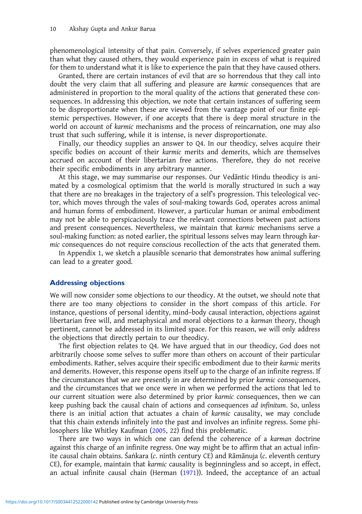phenomenological intensity of that pain. Conversely, if selves experienced greater pain than what they caused others, they would experience pain in excess of what is required for them to understand what it is like to experience the pain that they have caused others.

Granted, there are certain instances of evil that are so horrendous that they call into doubt the very claim that all suffering and pleasure are karmic consequences that are administered in proportion to the moral quality of the actions that generated these consequences. In addressing this objection, we note that certain instances of suffering seem to be disproportionate when these are viewed from the vantage point of our finite epistemic perspectives. However, if one accepts that there is deep moral structure in the world on account of karmic mechanisms and the process of reincarnation, one may also trust that such suffering, while it is intense, is never disproportionate.

Finally, our theodicy supplies an answer to Q4. In our theodicy, selves acquire their specific bodies on account of their karmic merits and demerits, which are themselves accrued on account of their libertarian free actions. Therefore, they do not receive their specific embodiments in any arbitrary manner.

At this stage, we may summarise our responses. Our Vedāntic Hindu theodicy is animated by a cosmological optimism that the world is morally structured in such a way that there are no breakages in the trajectory of a self's progression. This teleological vector, which moves through the vales of soul-making towards God, operates across animal and human forms of embodiment. However, a particular human or animal embodiment may not be able to perspicaciously trace the relevant connections between past actions and present consequences. Nevertheless, we maintain that karmic mechanisms serve a soul-making function: as noted earlier, the spiritual lessons selves may learn through karmic consequences do not require conscious recollection of the acts that generated them.

In Appendix 1, we sketch a plausible scenario that demonstrates how animal suffering can lead to a greater good.

#### Addressing objections

We will now consider some objections to our theodicy. At the outset, we should note that there are too many objections to consider in the short compass of this article. For instance, questions of personal identity, mind–body causal interaction, objections against libertarian free will, and metaphysical and moral objections to a karman theory, though pertinent, cannot be addressed in its limited space. For this reason, we will only address the objections that directly pertain to our theodicy.

The first objection relates to Q4. We have argued that in our theodicy, God does not arbitrarily choose some selves to suffer more than others on account of their particular embodiments. Rather, selves acquire their specific embodiment due to their karmic merits and demerits. However, this response opens itself up to the charge of an infinite regress. If the circumstances that we are presently in are determined by prior karmic consequences, and the circumstances that we once were in when we performed the actions that led to our current situation were also determined by prior karmic consequences, then we can keep pushing back the causal chain of actions and consequences ad infinitum. So, unless there is an initial action that actuates a chain of karmic causality, we may conclude that this chain extends infinitely into the past and involves an infinite regress. Some philosophers like Whitley Kaufman [\(2005](#page-12-0), 22) find this problematic.

There are two ways in which one can defend the coherence of a karman doctrine against this charge of an infinite regress. One way might be to affirm that an actual infinite causal chain obtains. Śaṅkara (c. ninth century CE) and Rāmānuja (c. eleventh century CE), for example, maintain that karmic causality is beginningless and so accept, in effect, an actual infinite causal chain (Herman ([1971\)](#page-12-0)). Indeed, the acceptance of an actual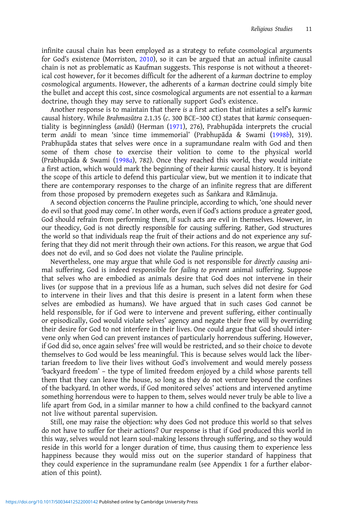infinite causal chain has been employed as a strategy to refute cosmological arguments for God's existence (Morriston, [2010\)](#page-12-0), so it can be argued that an actual infinite causal chain is not as problematic as Kaufman suggests. This response is not without a theoretical cost however, for it becomes difficult for the adherent of a karman doctrine to employ cosmological arguments. However, the adherents of a karman doctrine could simply bite the bullet and accept this cost, since cosmological arguments are not essential to a karman doctrine, though they may serve to rationally support God's existence.

Another response is to maintain that there is a first action that initiates a self's karmic causal history. While Brahmasūtra 2.1.35 (c. 300 BCE–300 CE) states that karmic consequentiality is beginningless (anādi) (Herman ([1971](#page-12-0)), 276), Prabhupāda interprets the crucial term anādi to mean 'since time immemorial' (Prabhupāda & Swami [\(1998](#page-12-0)b), 319). Prabhupāda states that selves were once in a supramundane realm with God and then some of them chose to exercise their volition to come to the physical world (Prabhupāda & Swami [\(1998](#page-12-0)a), 782). Once they reached this world, they would initiate a first action, which would mark the beginning of their karmic causal history. It is beyond the scope of this article to defend this particular view, but we mention it to indicate that there are contemporary responses to the charge of an infinite regress that are different from those proposed by premodern exegetes such as Śaṅkara and Rāmānuja.

A second objection concerns the Pauline principle, according to which, 'one should never do evil so that good may come'. In other words, even if God's actions produce a greater good, God should refrain from performing them, if such acts are evil in themselves. However, in our theodicy, God is not directly responsible for causing suffering. Rather, God structures the world so that individuals reap the fruit of their actions and do not experience any suffering that they did not merit through their own actions. For this reason, we argue that God does not do evil, and so God does not violate the Pauline principle.

Nevertheless, one may argue that while God is not responsible for directly causing animal suffering, God is indeed responsible for failing to prevent animal suffering. Suppose that selves who are embodied as animals desire that God does not intervene in their lives (or suppose that in a previous life as a human, such selves did not desire for God to intervene in their lives and that this desire is present in a latent form when these selves are embodied as humans). We have argued that in such cases God cannot be held responsible, for if God were to intervene and prevent suffering, either continually or episodically, God would violate selves' agency and negate their free will by overriding their desire for God to not interfere in their lives. One could argue that God should intervene only when God can prevent instances of particularly horrendous suffering. However, if God did so, once again selves' free will would be restricted, and so their choice to devote themselves to God would be less meaningful. This is because selves would lack the libertarian freedom to live their lives without God's involvement and would merely possess 'backyard freedom' – the type of limited freedom enjoyed by a child whose parents tell them that they can leave the house, so long as they do not venture beyond the confines of the backyard. In other words, if God monitored selves' actions and intervened anytime something horrendous were to happen to them, selves would never truly be able to live a life apart from God, in a similar manner to how a child confined to the backyard cannot not live without parental supervision.

Still, one may raise the objection: why does God not produce this world so that selves do not have to suffer for their actions? Our response is that if God produced this world in this way, selves would not learn soul-making lessons through suffering, and so they would reside in this world for a longer duration of time, thus causing them to experience less happiness because they would miss out on the superior standard of happiness that they could experience in the supramundane realm (see Appendix 1 for a further elaboration of this point).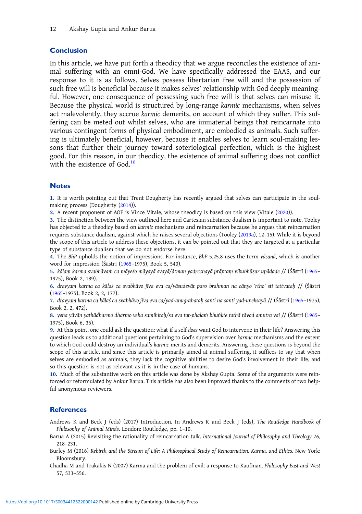## <span id="page-11-0"></span>Conclusion

In this article, we have put forth a theodicy that we argue reconciles the existence of animal suffering with an omni-God. We have specifically addressed the EAAS, and our response to it is as follows. Selves possess libertarian free will and the possession of such free will is beneficial because it makes selves' relationship with God deeply meaningful. However, one consequence of possessing such free will is that selves can misuse it. Because the physical world is structured by long-range karmic mechanisms, when selves act malevolently, they accrue karmic demerits, on account of which they suffer. This suffering can be meted out whilst selves, who are immaterial beings that reincarnate into various contingent forms of physical embodiment, are embodied as animals. Such suffering is ultimately beneficial, however, because it enables selves to learn soul-making lessons that further their journey toward soteriological perfection, which is the highest good. For this reason, in our theodicy, the existence of animal suffering does not conflict with the existence of God.<sup>10</sup>

### **Notes**

1. It is worth pointing out that Trent Dougherty has recently argued that selves can participate in the soulmaking process (Dougherty ([2014\)](#page-12-0)).

2. A recent proponent of AOE is Vince Vitale, whose theodicy is based on this view (Vitale ([2020\)](#page-12-0)).

3. The distinction between the view outlined here and Cartesian substance dualism is important to note. Tooley has objected to a theodicy based on karmic mechanisms and reincarnation because he argues that reincarnation requires substance dualism, against which he raises several objections (Tooley ([2019](#page-12-0)a), 12–15). While it is beyond the scope of this article to address these objections, it can be pointed out that they are targeted at a particular type of substance dualism that we do not endorse here.

4. The BhP upholds the notion of impressions. For instance, BhP 5.25.8 uses the term vāsanā, which is another word for impression (Śāstrī [\(1965](#page-12-0)–1975), Book 5, 540).

5. kālaṃ karma svabhāvaṁ ca māyeśo māyayā svayā/ātman yadṛcchayā prāptaṃ vibubhūṣur upādade // (Śāstrī ([1965](#page-12-0)– 1975), Book 2, 189).

6. dravyaṃ karma ca kālaś ca svabhāvo jīva eva ca/vāsudevāt paro brahman na cānyo 'rtho' sti tattvataḥ // (Śāstrī ([1965](#page-12-0)–1975), Book 2, 2, 177).

7. dravyaṃ karma ca kālaś ca svabhāvo jīva eva ca/yad-anugrahataḥ santi na santi yad-upekṣayā // (Śāstrī ([1965](#page-12-0)–1975), Book 2, 2, 472).

8. yena yāvān yathādharmo dharmo veha samīhitaḥ/sa eva tat-phalaṁ bhuṅkte tathā tāvad amutra vai // (Śāstrī ([1965](#page-12-0)– 1975), Book 6, 35).

9. At this point, one could ask the question: what if a self does want God to intervene in their life? Answering this question leads us to additional questions pertaining to God's supervision over karmic mechanisms and the extent to which God could destroy an individual's karmic merits and demerits. Answering these questions is beyond the scope of this article, and since this article is primarily aimed at animal suffering, it suffices to say that when selves are embodied as animals, they lack the cognitive abilities to desire God's involvement in their life, and so this question is not as relevant as it is in the case of humans.

10. Much of the substantive work on this article was done by Akshay Gupta. Some of the arguments were reinforced or reformulated by Ankur Barua. This article has also been improved thanks to the comments of two helpful anonymous reviewers.

### **References**

Andrews K and Beck J (eds) (2017) Introduction. In Andrews K and Beck J (eds), The Routledge Handbook of Philosophy of Animal Minds. London: Routledge, pp. 1–10.

- Barua A (2015) Revisiting the rationality of reincarnation talk. International Journal of Philosophy and Theology 76, 218–231.
- Burley M (2016) Rebirth and the Stream of Life: A Philosophical Study of Reincarnation, Karma, and Ethics. New York: Bloomsbury.
- Chadha M and Trakakis N (2007) Karma and the problem of evil: a response to Kaufman. Philosophy East and West 57, 533–556.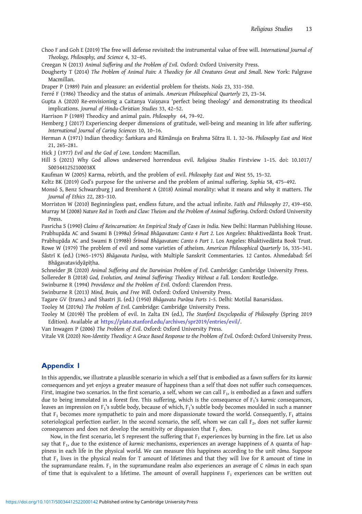<span id="page-12-0"></span>Choo F and Goh E (2019) The free will defense revisited: the instrumental value of free will. International Journal of Theology, Philosophy, and Science 4, 32–45.

Creegan N (2013) Animal Suffering and the Problem of Evil. Oxford: Oxford University Press.

Dougherty T (2014) The Problem of Animal Pain: A Theodicy for All Creatures Great and Small. New York: Palgrave Macmillan.

Draper P (1989) Pain and pleasure: an evidential problem for theists. Noûs 23, 331–350.

Ferré F (1986) Theodicy and the status of animals. American Philosophical Quarterly 23, 23–34.

Gupta A (2020) Re-envisioning a Caitanya Vaisnava 'perfect being theology' and demonstrating its theodical implications. Journal of Hindu-Christian Studies 33, 42–52.

Harrison P (1989) Theodicy and animal pain. Philosophy 64, 79–92.

Hemberg J (2017) Experiencing deeper dimensions of gratitude, well-being and meaning in life after suffering. International Journal of Caring Sciences 10, 10–16.

Herman A (1971) Indian theodicy: Śaṁkara and Rāmānuja on Brahma Sūtra II. 1. 32-36. Philosophy East and West 21, 265–281.

Hick J (1977) Evil and the God of Love. London: Macmillan.

Hill S (2021) Why God allows undeserved horrendous evil. Religious Studies Firstview 1–15. doi: 10.1017/ S003441252100038X

Kaufman W (2005) Karma, rebirth, and the problem of evil. Philosophy East and West 55, 15–32.

Keltz BK (2019) God's purpose for the universe and the problem of animal suffering. Sophia 58, 475–492.

Monsó S, Benz Schwarzburg J and Bremhorst A (2018) Animal morality: what it means and why it matters. The Journal of Ethics 22, 283–310.

Morriston W (2010) Beginningless past, endless future, and the actual infinite. Faith and Philosophy 27, 439–450.

Murray M (2008) Nature Red in Tooth and Claw: Theism and the Problem of Animal Suffering. Oxford: Oxford University Press.

Pasricha S (1990) Claims of Reincarnation: An Empirical Study of Cases in India. New Delhi: Harman Publishing House. Prabhupāda AC and Swami B (1998a) Śrīmad Bhāgavatam: Canto 4 Part 2. Los Angeles: Bhaktivedānta Book Trust. Prabhupāda AC and Swami B (1998b) Śrīmad Bhāgavatam: Canto 6 Part 1. Los Angeles: Bhaktivedānta Book Trust. Rowe W (1979) The problem of evil and some varieties of atheism. American Philosophical Quarterly 16, 335–341.

Śāstrī K (ed.) (1965–1975) Bhāgavata Purāṇa, with Multiple Sanskrit Commentaries. 12 Cantos. Ahmedabad: Śrī Bhāgavatavidyāpīṭha.

Schneider JR (2020) Animal Suffering and the Darwinian Problem of Evil. Cambridge: Cambridge University Press. Sollereder B (2018) God, Evolution, and Animal Suffering: Theodicy Without a Fall. London: Routledge.

Swinburne R (1994) Providence and the Problem of Evil. Oxford: Clarendon Press.

Swinburne R (2013) Mind, Brain, and Free Will. Oxford: Oxford University Press.

Tagare GV (trans.) and Shastri JL (ed.) (1950) Bhāgavata Purāṇa Parts 1–5. Delhi: Motilal Banarsidass.

Tooley M (2019a) The Problem of Evil. Cambridge: Cambridge University Press.

Tooley M (2019b) The problem of evil. In Zalta EN (ed.), The Stanford Encyclopedia of Philosophy (Spring 2019 Edition). Available at [https://plato.stanford.edu/archives/spr2019/entries/evil/.](https://plato.stanford.edu/archives/spr2019/entries/evil/)

Van Inwagen P (2006) The Problem of Evil. Oxford: Oxford University Press.

Vitale VR (2020) Non-Identity Theodicy: A Grace Based Response to the Problem of Evil. Oxford: Oxford University Press.

## Appendix 1

In this appendix, we illustrate a plausible scenario in which a self that is embodied as a fawn suffers for its karmic consequences and yet enjoys a greater measure of happiness than a self that does not suffer such consequences. First, imagine two scenarios. In the first scenario, a self, whom we can call  $F_1$ , is embodied as a fawn and suffers due to being immolated in a forest fire. This suffering, which is the consequence of  $F_1$ 's karmic consequences, leaves an impression on F<sub>1</sub>'s subtle body, because of which, F<sub>1</sub>'s subtle body becomes moulded in such a manner that  $F_1$  becomes more sympathetic to pain and more dispassionate toward the world. Consequently,  $F_1$  attains soteriological perfection earlier. In the second scenario, the self, whom we can call  $F_2$ , does not suffer karmic consequences and does not develop the sensitivity or dispassion that  $F_1$  does.

Now, in the first scenario, let S represent the suffering that  $F_1$  experiences by burning in the fire. Let us also say that  $F_1$ , due to the existence of karmic mechanisms, experiences an average happiness of A quanta of happiness in each life in the physical world. We can measure this happiness according to the unit rāma. Suppose that  $F_1$  lives in the physical realm for T amount of lifetimes and that they will live for R amount of time in the supramundane realm.  $F_1$  in the supramundane realm also experiences an average of C rāmas in each span of time that is equivalent to a lifetime. The amount of overall happiness  $F_1$  experiences can be written out